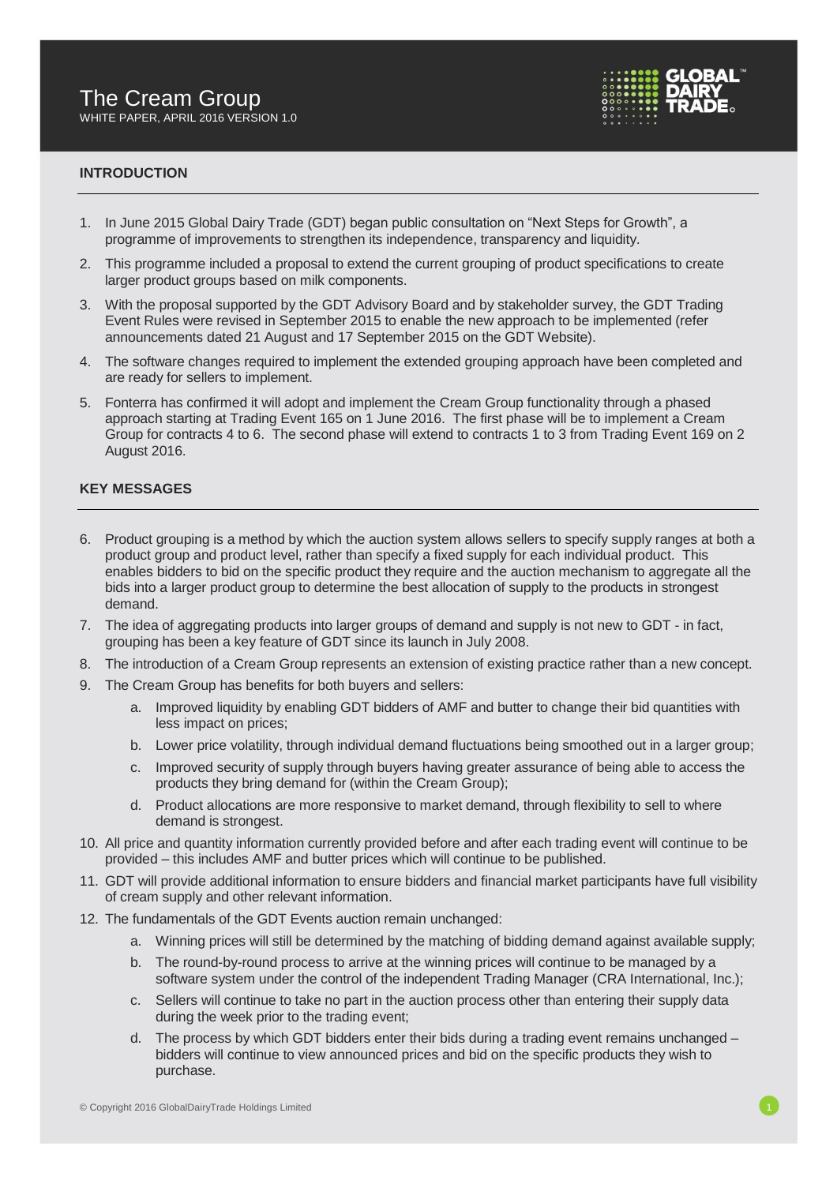

## **INTRODUCTION**

- 1. In June 2015 Global Dairy Trade (GDT) began public consultation on "Next Steps for Growth", a programme of improvements to strengthen its independence, transparency and liquidity.
- 2. This programme included a proposal to extend the current grouping of product specifications to create larger product groups based on milk components.
- 3. With the proposal supported by the GDT Advisory Board and by stakeholder survey, the GDT Trading Event Rules were revised in September 2015 to enable the new approach to be implemented (refer announcements dated 21 August and 17 September 2015 on the GDT Website).
- 4. The software changes required to implement the extended grouping approach have been completed and are ready for sellers to implement.
- 5. Fonterra has confirmed it will adopt and implement the Cream Group functionality through a phased approach starting at Trading Event 165 on 1 June 2016. The first phase will be to implement a Cream Group for contracts 4 to 6. The second phase will extend to contracts 1 to 3 from Trading Event 169 on 2 August 2016.

## **KEY MESSAGES**

- 6. Product grouping is a method by which the auction system allows sellers to specify supply ranges at both a product group and product level, rather than specify a fixed supply for each individual product. This enables bidders to bid on the specific product they require and the auction mechanism to aggregate all the bids into a larger product group to determine the best allocation of supply to the products in strongest demand.
- 7. The idea of aggregating products into larger groups of demand and supply is not new to GDT in fact, grouping has been a key feature of GDT since its launch in July 2008.
- 8. The introduction of a Cream Group represents an extension of existing practice rather than a new concept.
- 9. The Cream Group has benefits for both buyers and sellers:
	- a. Improved liquidity by enabling GDT bidders of AMF and butter to change their bid quantities with less impact on prices;
	- b. Lower price volatility, through individual demand fluctuations being smoothed out in a larger group;
	- c. Improved security of supply through buyers having greater assurance of being able to access the products they bring demand for (within the Cream Group);
	- d. Product allocations are more responsive to market demand, through flexibility to sell to where demand is strongest.
- 10. All price and quantity information currently provided before and after each trading event will continue to be provided – this includes AMF and butter prices which will continue to be published.
- 11. GDT will provide additional information to ensure bidders and financial market participants have full visibility of cream supply and other relevant information.
- 12. The fundamentals of the GDT Events auction remain unchanged:
	- a. Winning prices will still be determined by the matching of bidding demand against available supply;
	- b. The round-by-round process to arrive at the winning prices will continue to be managed by a software system under the control of the independent Trading Manager (CRA International, Inc.);
	- c. Sellers will continue to take no part in the auction process other than entering their supply data during the week prior to the trading event;
	- d. The process by which GDT bidders enter their bids during a trading event remains unchanged bidders will continue to view announced prices and bid on the specific products they wish to purchase.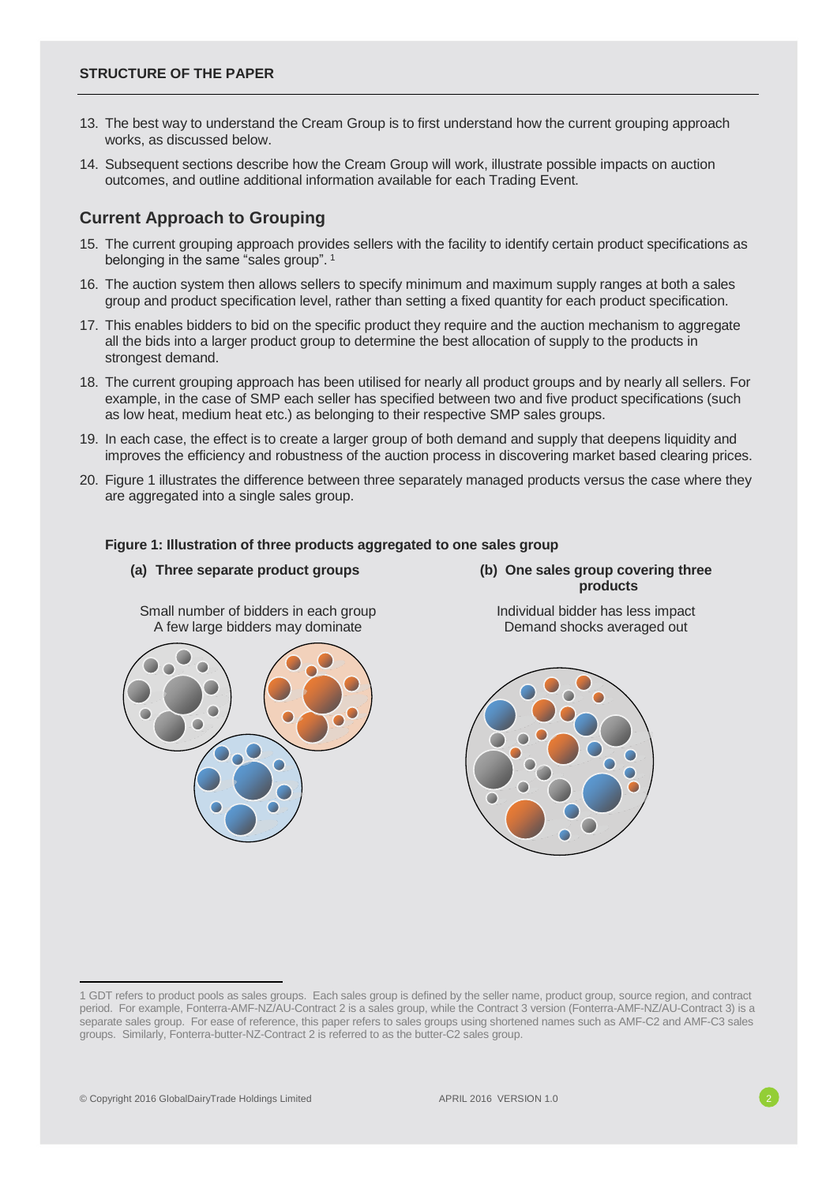- 13. The best way to understand the Cream Group is to first understand how the current grouping approach works, as discussed below.
- 14. Subsequent sections describe how the Cream Group will work, illustrate possible impacts on auction outcomes, and outline additional information available for each Trading Event.

## **Current Approach to Grouping**

- 15. The current grouping approach provides sellers with the facility to identify certain product specifications as belonging in the same "sales group". 1
- 16. The auction system then allows sellers to specify minimum and maximum supply ranges at both a sales group and product specification level, rather than setting a fixed quantity for each product specification.
- 17. This enables bidders to bid on the specific product they require and the auction mechanism to aggregate all the bids into a larger product group to determine the best allocation of supply to the products in strongest demand.
- 18. The current grouping approach has been utilised for nearly all product groups and by nearly all sellers. For example, in the case of SMP each seller has specified between two and five product specifications (such as low heat, medium heat etc.) as belonging to their respective SMP sales groups.
- 19. In each case, the effect is to create a larger group of both demand and supply that deepens liquidity and improves the efficiency and robustness of the auction process in discovering market based clearing prices.
- 20. Figure 1 illustrates the difference between three separately managed products versus the case where they are aggregated into a single sales group.

#### **Figure 1: Illustration of three products aggregated to one sales group**



Small number of bidders in each group A few large bidders may dominate

**products**

Individual bidder has less impact Demand shocks averaged out





<sup>1</sup> GDT refers to product pools as sales groups. Each sales group is defined by the seller name, product group, source region, and contract period. For example, Fonterra-AMF-NZ/AU-Contract 2 is a sales group, while the Contract 3 version (Fonterra-AMF-NZ/AU-Contract 3) is a separate sales group. For ease of reference, this paper refers to sales groups using shortened names such as AMF-C2 and AMF-C3 sales groups. Similarly, Fonterra-butter-NZ-Contract 2 is referred to as the butter-C2 sales group.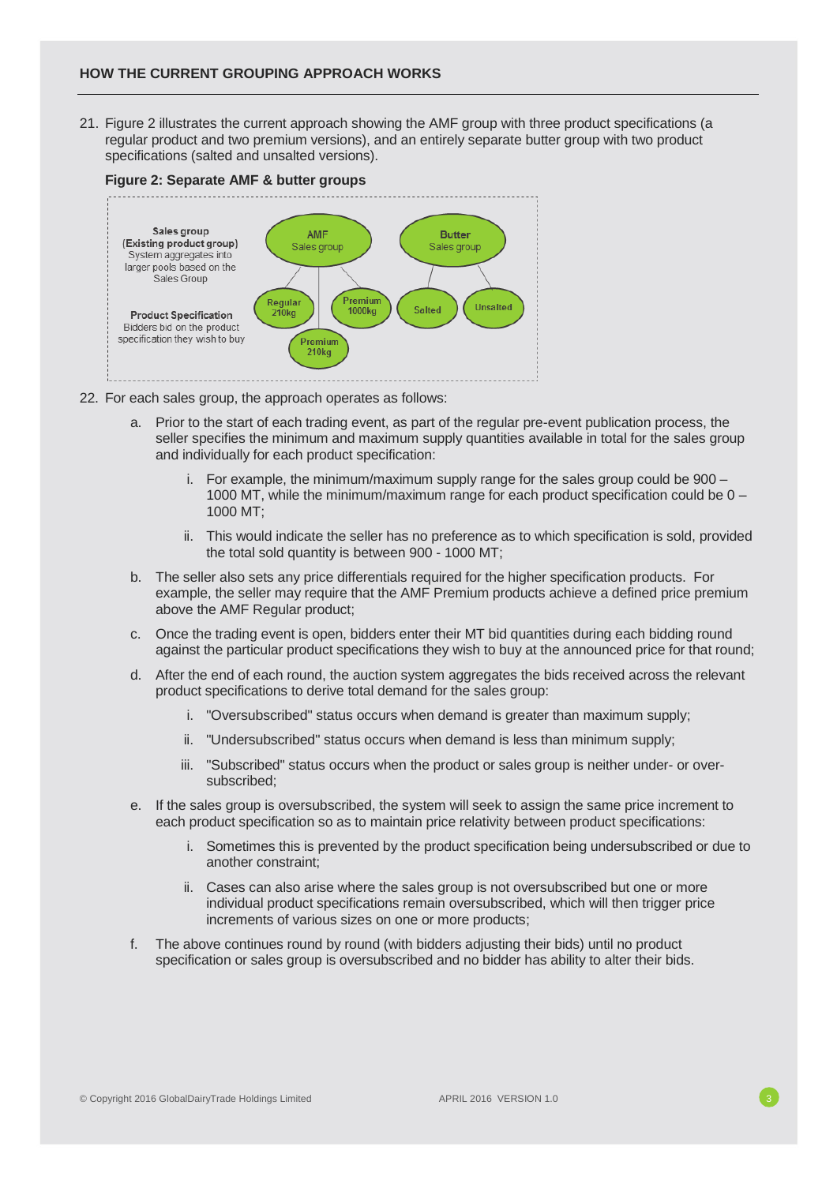21. Figure 2 illustrates the current approach showing the AMF group with three product specifications (a regular product and two premium versions), and an entirely separate butter group with two product specifications (salted and unsalted versions).



- 22. For each sales group, the approach operates as follows:
	- a. Prior to the start of each trading event, as part of the regular pre-event publication process, the seller specifies the minimum and maximum supply quantities available in total for the sales group and individually for each product specification:
		- i. For example, the minimum/maximum supply range for the sales group could be 900 1000 MT, while the minimum/maximum range for each product specification could be 0 – 1000 MT;
		- ii. This would indicate the seller has no preference as to which specification is sold, provided the total sold quantity is between 900 - 1000 MT;
	- b. The seller also sets any price differentials required for the higher specification products. For example, the seller may require that the AMF Premium products achieve a defined price premium above the AMF Regular product;
	- c. Once the trading event is open, bidders enter their MT bid quantities during each bidding round against the particular product specifications they wish to buy at the announced price for that round;
	- d. After the end of each round, the auction system aggregates the bids received across the relevant product specifications to derive total demand for the sales group:
		- i. "Oversubscribed" status occurs when demand is greater than maximum supply;
		- ii. "Undersubscribed" status occurs when demand is less than minimum supply;
		- iii. "Subscribed" status occurs when the product or sales group is neither under- or oversubscribed;
	- e. If the sales group is oversubscribed, the system will seek to assign the same price increment to each product specification so as to maintain price relativity between product specifications:
		- i. Sometimes this is prevented by the product specification being undersubscribed or due to another constraint;
		- ii. Cases can also arise where the sales group is not oversubscribed but one or more individual product specifications remain oversubscribed, which will then trigger price increments of various sizes on one or more products;
	- f. The above continues round by round (with bidders adjusting their bids) until no product specification or sales group is oversubscribed and no bidder has ability to alter their bids.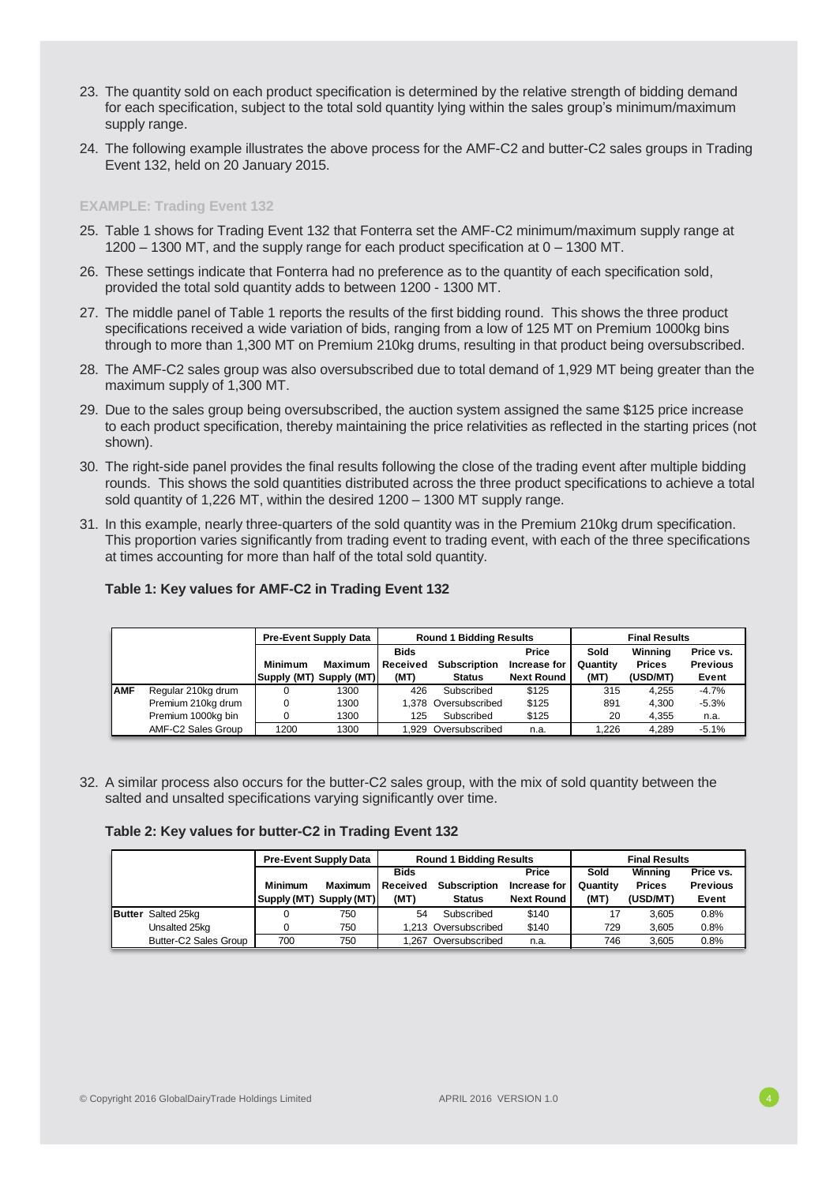- 23. The quantity sold on each product specification is determined by the relative strength of bidding demand for each specification, subject to the total sold quantity lying within the sales group's minimum/maximum supply range.
- 24. The following example illustrates the above process for the AMF-C2 and butter-C2 sales groups in Trading Event 132, held on 20 January 2015.

#### **EXAMPLE: Trading Event 132**

- 25. Table 1 shows for Trading Event 132 that Fonterra set the AMF-C2 minimum/maximum supply range at 1200 – 1300 MT, and the supply range for each product specification at 0 – 1300 MT.
- 26. These settings indicate that Fonterra had no preference as to the quantity of each specification sold, provided the total sold quantity adds to between 1200 - 1300 MT.
- 27. The middle panel of Table 1 reports the results of the first bidding round. This shows the three product specifications received a wide variation of bids, ranging from a low of 125 MT on Premium 1000kg bins through to more than 1,300 MT on Premium 210kg drums, resulting in that product being oversubscribed.
- 28. The AMF-C2 sales group was also oversubscribed due to total demand of 1,929 MT being greater than the maximum supply of 1,300 MT.
- 29. Due to the sales group being oversubscribed, the auction system assigned the same \$125 price increase to each product specification, thereby maintaining the price relativities as reflected in the starting prices (not shown).
- 30. The right-side panel provides the final results following the close of the trading event after multiple bidding rounds. This shows the sold quantities distributed across the three product specifications to achieve a total sold quantity of 1,226 MT, within the desired 1200 – 1300 MT supply range.
- 31. In this example, nearly three-quarters of the sold quantity was in the Premium 210kg drum specification. This proportion varies significantly from trading event to trading event, with each of the three specifications at times accounting for more than half of the total sold quantity.

|            |                    | <b>Pre-Event Supply Data</b> |                        | <b>Round 1 Bidding Results</b>         |                                      |                                            | <b>Final Results</b>     |                                      |                                       |
|------------|--------------------|------------------------------|------------------------|----------------------------------------|--------------------------------------|--------------------------------------------|--------------------------|--------------------------------------|---------------------------------------|
|            |                    | Minimum<br>Supply (MT)       | Maximum<br>Supply (MT) | <b>Bids</b><br><b>Received</b><br>(MT) | <b>Subscription</b><br><b>Status</b> | Price<br>Increase for<br><b>Next Round</b> | Sold<br>Quantity<br>(MT) | Winning<br><b>Prices</b><br>(USD/MT) | Price vs.<br><b>Previous</b><br>Event |
| <b>AMF</b> | Regular 210kg drum | 0                            | 1300                   | 426                                    | Subscribed                           | \$125                                      | 315                      | 4.255                                | $-4.7%$                               |
|            | Premium 210kg drum | 0                            | 1300                   |                                        | 1.378 Oversubscribed                 | \$125                                      | 891                      | 4.300                                | $-5.3%$                               |
|            | Premium 1000kg bin |                              | 1300                   | 125                                    | Subscribed                           | \$125                                      | 20                       | 4.355                                | n.a.                                  |
|            | AMF-C2 Sales Group | 1200                         | 1300                   |                                        | .929 Oversubscribed                  | n.a.                                       | 1.226                    | 4.289                                | $-5.1%$                               |

### **Table 1: Key values for AMF-C2 in Trading Event 132**

32. A similar process also occurs for the butter-C2 sales group, with the mix of sold quantity between the salted and unsalted specifications varying significantly over time.

## **Table 2: Key values for butter-C2 in Trading Event 132**

|                           |                | <b>Pre-Event Supply Data</b> |             | <b>Round 1 Bidding Results</b> |                   | <b>Final Results</b> |               |                 |
|---------------------------|----------------|------------------------------|-------------|--------------------------------|-------------------|----------------------|---------------|-----------------|
|                           |                |                              | <b>Bids</b> |                                | Price             | Sold                 | Winning       | Price vs.       |
|                           | <b>Minimum</b> | <b>Maximum</b>               | Received    | <b>Subscription</b>            | Increase for      | Quantity             | <b>Prices</b> | <b>Previous</b> |
|                           | Supply (MT)    | Supply (MT)                  | (MT)        | <b>Status</b>                  | <b>Next Round</b> | (MT)                 | (USD/MT)      | Event           |
| <b>Butter</b> Salted 25kg |                | 750                          | 54          | Subscribed                     | \$140             |                      | 3.605         | 0.8%            |
| Unsalted 25kg             |                | 750                          |             | 1.213 Oversubscribed           | \$140             | 729                  | 3.605         | 0.8%            |
| Butter-C2 Sales Group     | 700            | 750                          | .267        | Oversubscribed                 | n.a.              | 746                  | 3.605         | 0.8%            |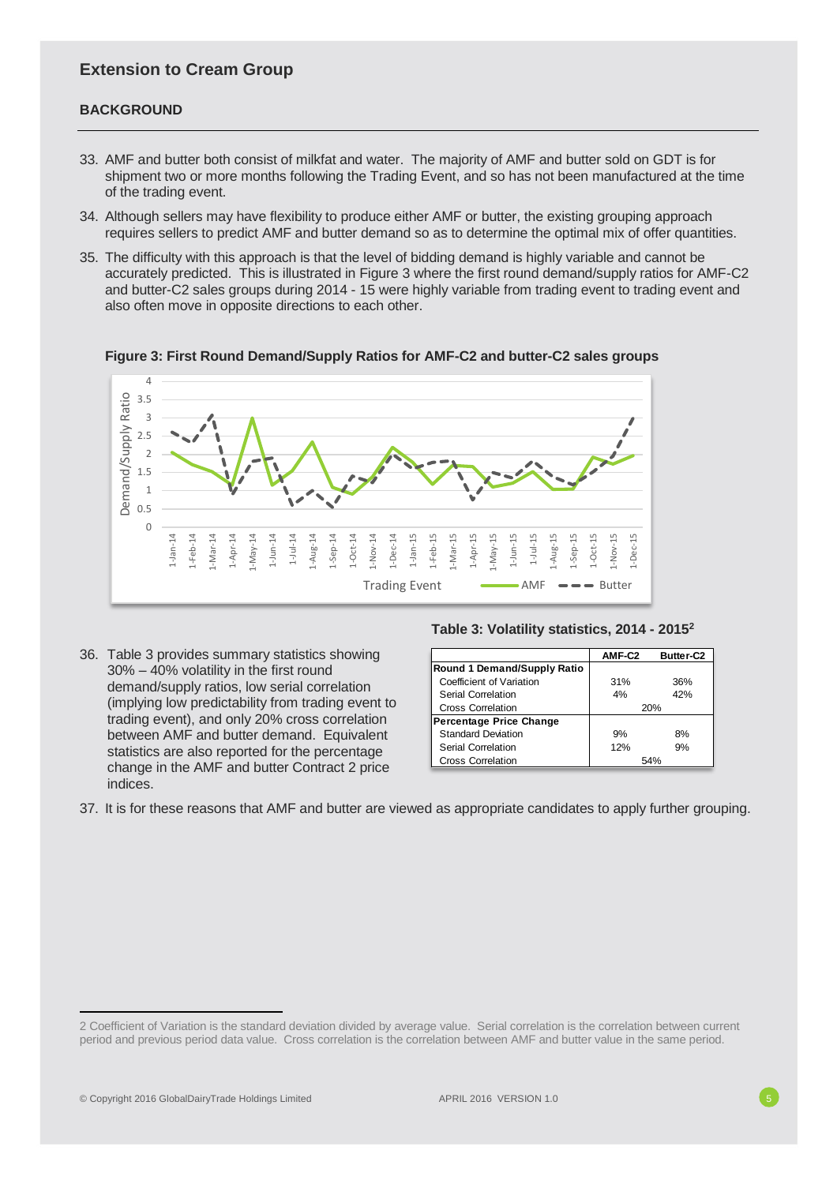# **Extension to Cream Group**

## **BACKGROUND**

- 33. AMF and butter both consist of milkfat and water. The majority of AMF and butter sold on GDT is for shipment two or more months following the Trading Event, and so has not been manufactured at the time of the trading event.
- 34. Although sellers may have flexibility to produce either AMF or butter, the existing grouping approach requires sellers to predict AMF and butter demand so as to determine the optimal mix of offer quantities.
- 35. The difficulty with this approach is that the level of bidding demand is highly variable and cannot be accurately predicted. This is illustrated in Figure 3 where the first round demand/supply ratios for AMF-C2 and butter-C2 sales groups during 2014 - 15 were highly variable from trading event to trading event and also often move in opposite directions to each other.

4 Demand/Supply Ratio 3.5 Demand/Supply Ratio 3 2.5 2 1.5 1 0.5 0 1-Mar-14 1-Jan-14 1-Feb-14 1-Jun-14 1-Sep-14 1-Dec-14 1-Jan-15 1-May-15 1-Aug-15 1-Nov-15 1-Apr-14 1-May-14 1-Jul-14 1-Aug-14 1-Oct-14 1-Nov-14 1-Feb-15 1-Mar-15 1-Apr-15 1-Jun-15 1-Jul-15 1-Sep-15 1-Oct-15 1-Dec-15 Trading Event  $\overline{\phantom{a}}$  AMF  $\overline{\phantom{a}}$  Butter

**Figure 3: First Round Demand/Supply Ratios for AMF-C2 and butter-C2 sales groups**

36. Table 3 provides summary statistics showing 30% – 40% volatility in the first round demand/supply ratios, low serial correlation (implying low predictability from trading event to trading event), and only 20% cross correlation between AMF and butter demand. Equivalent statistics are also reported for the percentage change in the AMF and butter Contract 2 price indices.

## **Table 3: Volatility statistics, 2014 - 2015<sup>2</sup>**

|                                    | AMF-C2 | <b>Butter-C2</b> |
|------------------------------------|--------|------------------|
| <b>Round 1 Demand/Supply Ratio</b> |        |                  |
| Coefficient of Variation           | 31%    | 36%              |
| Serial Correlation                 | 4%     | 42%              |
| Cross Correlation                  |        | 20%              |
| <b>Percentage Price Change</b>     |        |                  |
| <b>Standard Deviation</b>          | 9%     | 8%               |
| Serial Correlation                 | 12%    | 9%               |
| <b>Cross Correlation</b>           |        | 54%              |

37. It is for these reasons that AMF and butter are viewed as appropriate candidates to apply further grouping.

<sup>2</sup> Coefficient of Variation is the standard deviation divided by average value. Serial correlation is the correlation between current period and previous period data value. Cross correlation is the correlation between AMF and butter value in the same period.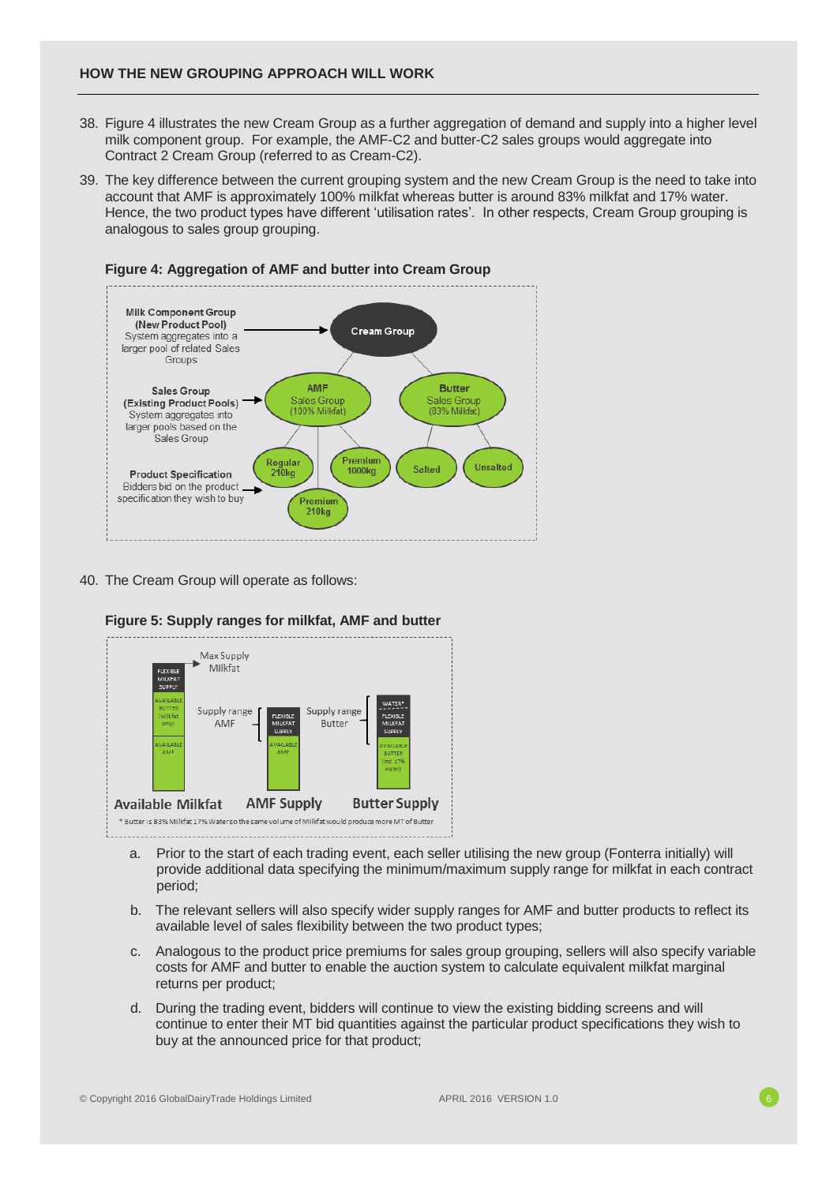## **HOW THE NEW GROUPING APPROACH WILL WORK**

- 38. Figure 4 illustrates the new Cream Group as a further aggregation of demand and supply into a higher level milk component group. For example, the AMF-C2 and butter-C2 sales groups would aggregate into Contract 2 Cream Group (referred to as Cream-C2).
- 39. The key difference between the current grouping system and the new Cream Group is the need to take into account that AMF is approximately 100% milkfat whereas butter is around 83% milkfat and 17% water. Hence, the two product types have different 'utilisation rates'. In other respects, Cream Group grouping is analogous to sales group grouping.



# **Figure 4: Aggregation of AMF and butter into Cream Group**

40. The Cream Group will operate as follows:



**Figure 5: Supply ranges for milkfat, AMF and butter**

- a. Prior to the start of each trading event, each seller utilising the new group (Fonterra initially) will provide additional data specifying the minimum/maximum supply range for milkfat in each contract period;
- b. The relevant sellers will also specify wider supply ranges for AMF and butter products to reflect its available level of sales flexibility between the two product types;
- c. Analogous to the product price premiums for sales group grouping, sellers will also specify variable costs for AMF and butter to enable the auction system to calculate equivalent milkfat marginal returns per product;
- d. During the trading event, bidders will continue to view the existing bidding screens and will continue to enter their MT bid quantities against the particular product specifications they wish to buy at the announced price for that product;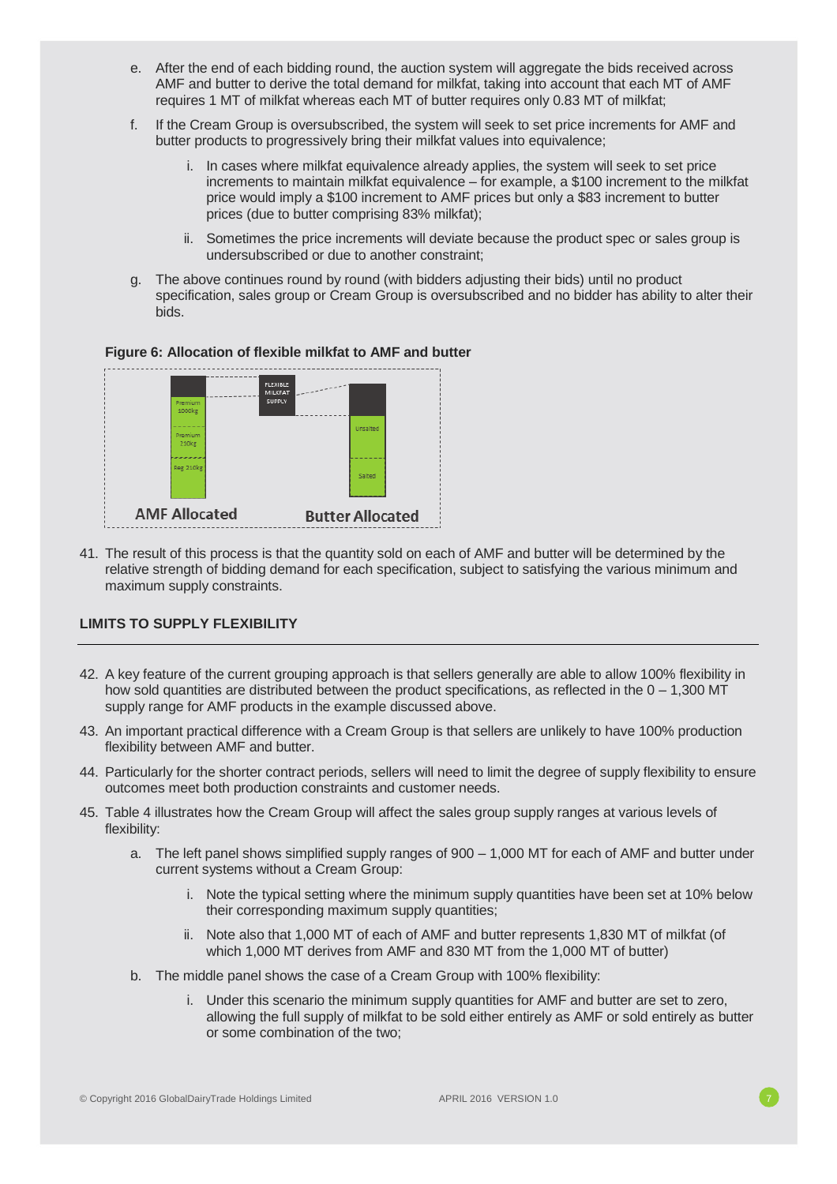- e. After the end of each bidding round, the auction system will aggregate the bids received across AMF and butter to derive the total demand for milkfat, taking into account that each MT of AMF requires 1 MT of milkfat whereas each MT of butter requires only 0.83 MT of milkfat;
- f. If the Cream Group is oversubscribed, the system will seek to set price increments for AMF and butter products to progressively bring their milkfat values into equivalence;
	- i. In cases where milkfat equivalence already applies, the system will seek to set price increments to maintain milkfat equivalence – for example, a \$100 increment to the milkfat price would imply a \$100 increment to AMF prices but only a \$83 increment to butter prices (due to butter comprising 83% milkfat);
	- ii. Sometimes the price increments will deviate because the product spec or sales group is undersubscribed or due to another constraint;
- g. The above continues round by round (with bidders adjusting their bids) until no product specification, sales group or Cream Group is oversubscribed and no bidder has ability to alter their bids.

## **Figure 6: Allocation of flexible milkfat to AMF and butter**



41. The result of this process is that the quantity sold on each of AMF and butter will be determined by the relative strength of bidding demand for each specification, subject to satisfying the various minimum and maximum supply constraints.

## **LIMITS TO SUPPLY FLEXIBILITY**

- 42. A key feature of the current grouping approach is that sellers generally are able to allow 100% flexibility in how sold quantities are distributed between the product specifications, as reflected in the  $0 - 1,300$  MT supply range for AMF products in the example discussed above.
- 43. An important practical difference with a Cream Group is that sellers are unlikely to have 100% production flexibility between AMF and butter.
- 44. Particularly for the shorter contract periods, sellers will need to limit the degree of supply flexibility to ensure outcomes meet both production constraints and customer needs.
- 45. Table 4 illustrates how the Cream Group will affect the sales group supply ranges at various levels of flexibility:
	- a. The left panel shows simplified supply ranges of 900 1,000 MT for each of AMF and butter under current systems without a Cream Group:
		- i. Note the typical setting where the minimum supply quantities have been set at 10% below their corresponding maximum supply quantities;
		- ii. Note also that 1,000 MT of each of AMF and butter represents 1,830 MT of milkfat (of which 1,000 MT derives from AMF and 830 MT from the 1,000 MT of butter)
	- b. The middle panel shows the case of a Cream Group with 100% flexibility:
		- i. Under this scenario the minimum supply quantities for AMF and butter are set to zero, allowing the full supply of milkfat to be sold either entirely as AMF or sold entirely as butter or some combination of the two;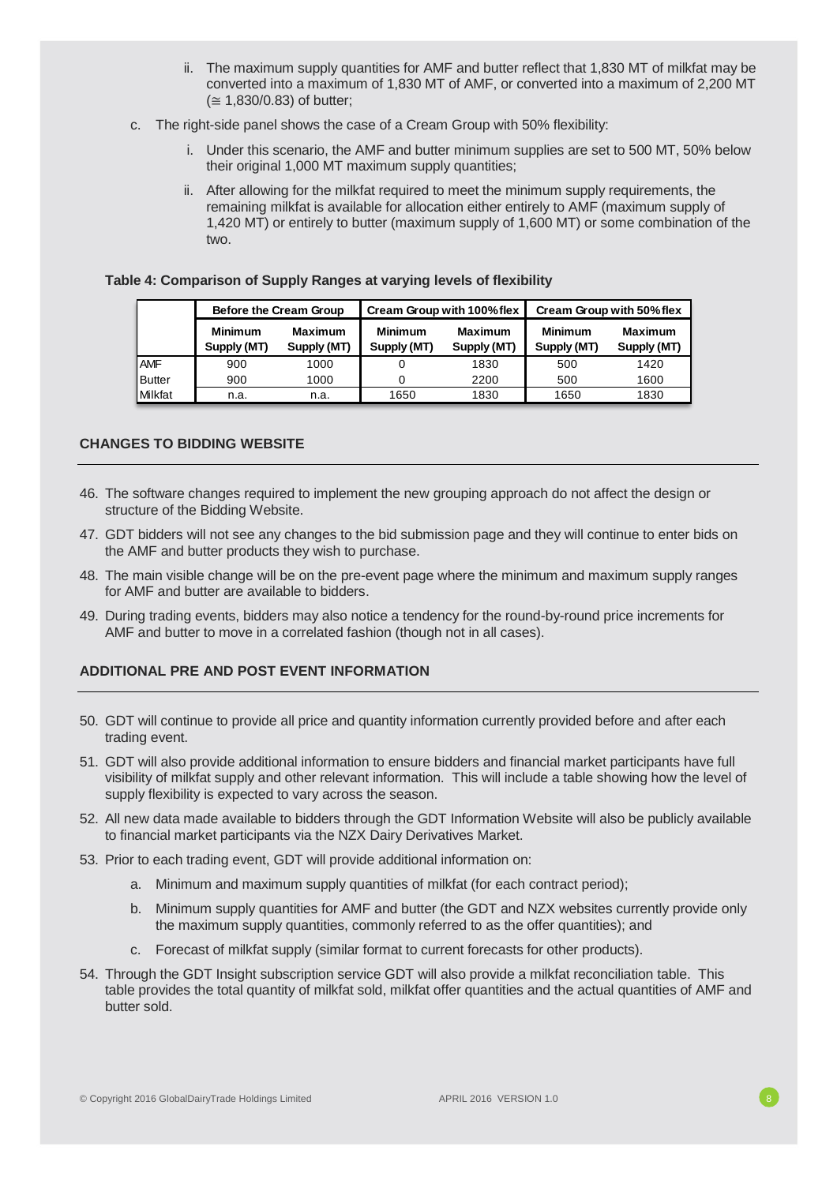- ii. The maximum supply quantities for AMF and butter reflect that 1,830 MT of milkfat may be converted into a maximum of 1,830 MT of AMF, or converted into a maximum of 2,200 MT (≅ 1,830/0.83) of butter;
- c. The right-side panel shows the case of a Cream Group with 50% flexibility:
	- i. Under this scenario, the AMF and butter minimum supplies are set to 500 MT, 50% below their original 1,000 MT maximum supply quantities;
	- ii. After allowing for the milkfat required to meet the minimum supply requirements, the remaining milkfat is available for allocation either entirely to AMF (maximum supply of 1,420 MT) or entirely to butter (maximum supply of 1,600 MT) or some combination of the two.

| Table 4: Comparison of Supply Ranges at varying levels of flexibility |  |  |  |
|-----------------------------------------------------------------------|--|--|--|
|-----------------------------------------------------------------------|--|--|--|

|               |                               | Before the Cream Group        |                               | Cream Group with 100% flex    | Cream Group with 50% flex     |                               |  |
|---------------|-------------------------------|-------------------------------|-------------------------------|-------------------------------|-------------------------------|-------------------------------|--|
|               | <b>Minimum</b><br>Supply (MT) | <b>Maximum</b><br>Supply (MT) | <b>Minimum</b><br>Supply (MT) | <b>Maximum</b><br>Supply (MT) | <b>Minimum</b><br>Supply (MT) | <b>Maximum</b><br>Supply (MT) |  |
| <b>AMF</b>    | 900                           | 1000                          |                               | 1830                          | 500                           | 1420                          |  |
| <b>Butter</b> | 900                           | 1000                          |                               | 2200                          | 500                           | 1600                          |  |
| Milkfat       | n.a.                          | n.a.                          | 1650                          | 1830                          | 1650                          | 1830                          |  |

## **CHANGES TO BIDDING WEBSITE**

- 46. The software changes required to implement the new grouping approach do not affect the design or structure of the Bidding Website.
- 47. GDT bidders will not see any changes to the bid submission page and they will continue to enter bids on the AMF and butter products they wish to purchase.
- 48. The main visible change will be on the pre-event page where the minimum and maximum supply ranges for AMF and butter are available to bidders.
- 49. During trading events, bidders may also notice a tendency for the round-by-round price increments for AMF and butter to move in a correlated fashion (though not in all cases).

## **ADDITIONAL PRE AND POST EVENT INFORMATION**

- 50. GDT will continue to provide all price and quantity information currently provided before and after each trading event.
- 51. GDT will also provide additional information to ensure bidders and financial market participants have full visibility of milkfat supply and other relevant information. This will include a table showing how the level of supply flexibility is expected to vary across the season.
- 52. All new data made available to bidders through the GDT Information Website will also be publicly available to financial market participants via the NZX Dairy Derivatives Market.
- 53. Prior to each trading event, GDT will provide additional information on:
	- a. Minimum and maximum supply quantities of milkfat (for each contract period);
	- b. Minimum supply quantities for AMF and butter (the GDT and NZX websites currently provide only the maximum supply quantities, commonly referred to as the offer quantities); and
	- c. Forecast of milkfat supply (similar format to current forecasts for other products).
- 54. Through the GDT Insight subscription service GDT will also provide a milkfat reconciliation table. This table provides the total quantity of milkfat sold, milkfat offer quantities and the actual quantities of AMF and butter sold.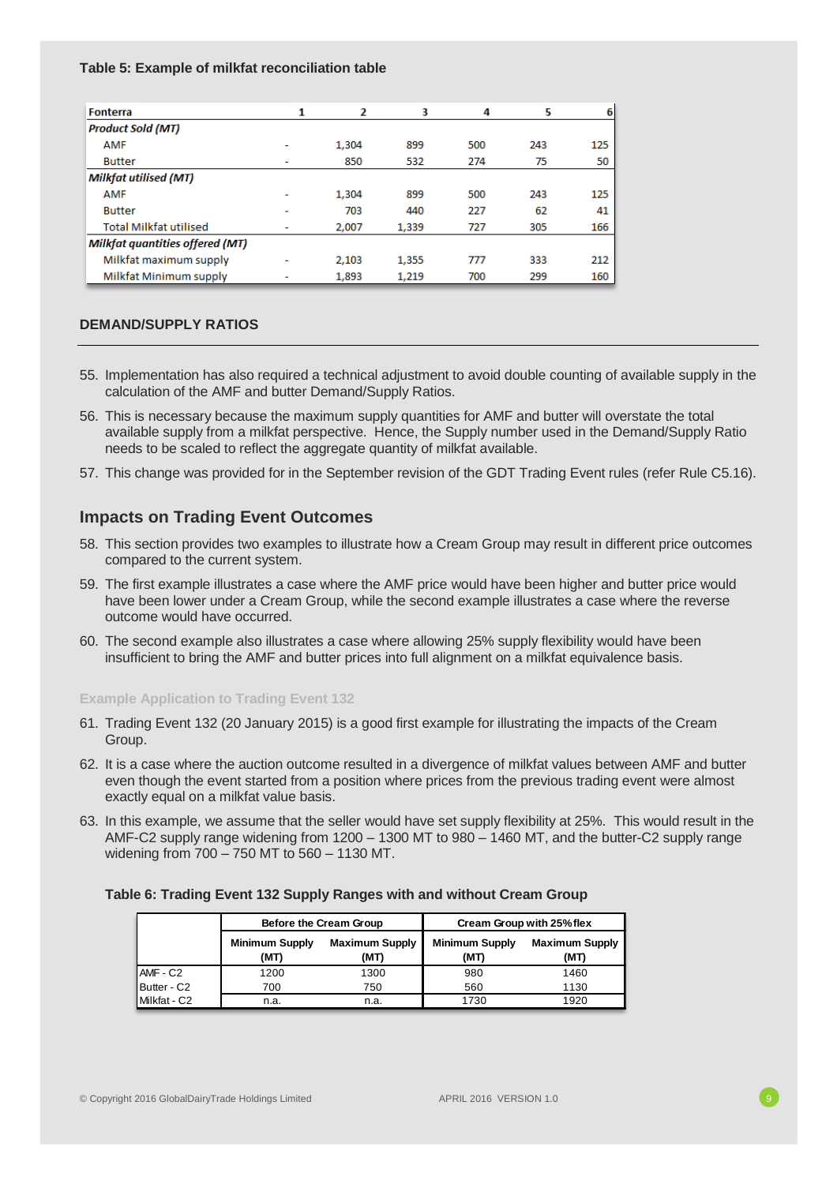### **Table 5: Example of milkfat reconciliation table**

| <b>Fonterra</b>                        | 1 | 2     | 3     | 4   | 5   | 6   |
|----------------------------------------|---|-------|-------|-----|-----|-----|
| <b>Product Sold (MT)</b>               |   |       |       |     |     |     |
| <b>AMF</b>                             |   | 1,304 | 899   | 500 | 243 | 125 |
| <b>Butter</b>                          |   | 850   | 532   | 274 | 75  | 50  |
| <b>Milkfat utilised (MT)</b>           |   |       |       |     |     |     |
| <b>AMF</b>                             | - | 1.304 | 899   | 500 | 243 | 125 |
| <b>Butter</b>                          | ٠ | 703   | 440   | 227 | 62  | 41  |
| <b>Total Milkfat utilised</b>          | ۰ | 2,007 | 1,339 | 727 | 305 | 166 |
| <b>Milkfat quantities offered (MT)</b> |   |       |       |     |     |     |
| Milkfat maximum supply                 | - | 2.103 | 1,355 | 777 | 333 | 212 |
| Milkfat Minimum supply                 | ٠ | 1,893 | 1,219 | 700 | 299 | 160 |

## **DEMAND/SUPPLY RATIOS**

- 55. Implementation has also required a technical adjustment to avoid double counting of available supply in the calculation of the AMF and butter Demand/Supply Ratios.
- 56. This is necessary because the maximum supply quantities for AMF and butter will overstate the total available supply from a milkfat perspective. Hence, the Supply number used in the Demand/Supply Ratio needs to be scaled to reflect the aggregate quantity of milkfat available.
- 57. This change was provided for in the September revision of the GDT Trading Event rules (refer Rule C5.16).

# **Impacts on Trading Event Outcomes**

- 58. This section provides two examples to illustrate how a Cream Group may result in different price outcomes compared to the current system.
- 59. The first example illustrates a case where the AMF price would have been higher and butter price would have been lower under a Cream Group, while the second example illustrates a case where the reverse outcome would have occurred.
- 60. The second example also illustrates a case where allowing 25% supply flexibility would have been insufficient to bring the AMF and butter prices into full alignment on a milkfat equivalence basis.

## **Example Application to Trading Event 132**

- 61. Trading Event 132 (20 January 2015) is a good first example for illustrating the impacts of the Cream Group.
- 62. It is a case where the auction outcome resulted in a divergence of milkfat values between AMF and butter even though the event started from a position where prices from the previous trading event were almost exactly equal on a milkfat value basis.
- 63. In this example, we assume that the seller would have set supply flexibility at 25%. This would result in the AMF-C2 supply range widening from 1200 – 1300 MT to 980 – 1460 MT, and the butter-C2 supply range widening from 700 – 750 MT to 560 – 1130 MT.

## **Table 6: Trading Event 132 Supply Ranges with and without Cream Group**

|              |                               | Before the Cream Group        | Cream Group with 25% flex     |                               |  |
|--------------|-------------------------------|-------------------------------|-------------------------------|-------------------------------|--|
|              | <b>Minimum Supply</b><br>(MT) | <b>Maximum Supply</b><br>(MT) | <b>Minimum Supply</b><br>(MT) | <b>Maximum Supply</b><br>(MT) |  |
| AMF - C2     | 1200                          | 1300                          | 980                           | 1460                          |  |
| Butter - C2  | 700                           | 750                           | 560                           | 1130                          |  |
| Milkfat - C2 | n.a.                          | n.a.                          | 1730                          | 1920                          |  |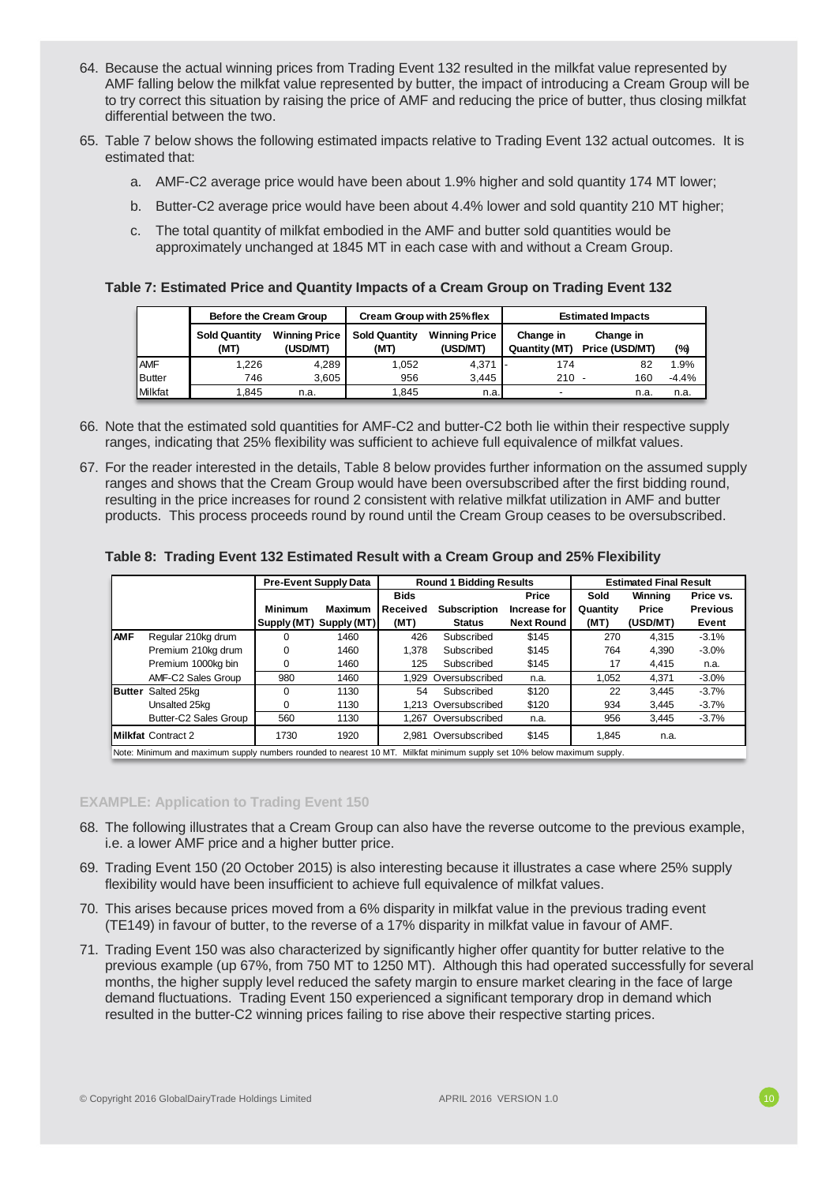- 64. Because the actual winning prices from Trading Event 132 resulted in the milkfat value represented by AMF falling below the milkfat value represented by butter, the impact of introducing a Cream Group will be to try correct this situation by raising the price of AMF and reducing the price of butter, thus closing milkfat differential between the two.
- 65. Table 7 below shows the following estimated impacts relative to Trading Event 132 actual outcomes. It is estimated that:
	- a. AMF-C2 average price would have been about 1.9% higher and sold quantity 174 MT lower;
	- b. Butter-C2 average price would have been about 4.4% lower and sold quantity 210 MT higher;
	- c. The total quantity of milkfat embodied in the AMF and butter sold quantities would be approximately unchanged at 1845 MT in each case with and without a Cream Group.

### **Table 7: Estimated Price and Quantity Impacts of a Cream Group on Trading Event 132**

|                 | Before the Cream Group       |                                  |                              | Cream Group with 25% flex        | <b>Estimated Impacts</b>   |                             |         |  |
|-----------------|------------------------------|----------------------------------|------------------------------|----------------------------------|----------------------------|-----------------------------|---------|--|
|                 | <b>Sold Quantity</b><br>(MT) | <b>Winning Price</b><br>(USD/MT) | <b>Sold Quantity</b><br>(MT) | <b>Winning Price</b><br>(USD/MT) | Change in<br>Quantity (MT) | Change in<br>Price (USD/MT) | (%)     |  |
| <b>AMF</b>      | 1.226                        | 4.289                            | 1.052                        | $4.371$ -                        | 174                        | 82                          | .9%     |  |
| Butter          | 746                          | 3.605                            | 956                          | 3.445                            | $210 -$                    | 160                         | $-4.4%$ |  |
| <b>IMilkfat</b> | 1.845                        | n.a.                             | 1.845                        | n.a.                             |                            | n.a.                        | n.a.    |  |

- 66. Note that the estimated sold quantities for AMF-C2 and butter-C2 both lie within their respective supply ranges, indicating that 25% flexibility was sufficient to achieve full equivalence of milkfat values.
- 67. For the reader interested in the details, Table 8 below provides further information on the assumed supply ranges and shows that the Cream Group would have been oversubscribed after the first bidding round, resulting in the price increases for round 2 consistent with relative milkfat utilization in AMF and butter products. This process proceeds round by round until the Cream Group ceases to be oversubscribed.

### **Table 8: Trading Event 132 Estimated Result with a Cream Group and 25% Flexibility**

|                |                                                                                                                         |                | <b>Pre-Event Supply Data</b> | <b>Estimated Final Result</b><br><b>Round 1 Bidding Results</b> |                      |                   |          |          |                 |
|----------------|-------------------------------------------------------------------------------------------------------------------------|----------------|------------------------------|-----------------------------------------------------------------|----------------------|-------------------|----------|----------|-----------------|
|                |                                                                                                                         |                |                              | <b>Bids</b>                                                     |                      | Price             | Sold     | Winning  | Price vs.       |
|                |                                                                                                                         | <b>Minimum</b> | <b>Maximum</b>               | Received                                                        | <b>Subscription</b>  | Increase for      | Quantity | Price    | <b>Previous</b> |
|                |                                                                                                                         | Supply (MT)    | Supply (MT)                  | (MT)                                                            | <b>Status</b>        | <b>Next Round</b> | (MT)     | (USD/MT) | Event           |
| <b>AMF</b>     | Regular 210kg drum                                                                                                      |                | 1460                         | 426                                                             | Subscribed           | \$145             | 270      | 4.315    | $-3.1%$         |
|                | Premium 210kg drum                                                                                                      | $\Omega$       | 1460                         | 1.378                                                           | Subscribed           | \$145             | 764      | 4.390    | $-3.0%$         |
|                | Premium 1000kg bin                                                                                                      | $\Omega$       | 1460                         | 125                                                             | Subscribed           | \$145             | 17       | 4.415    | n.a.            |
|                | AMF-C2 Sales Group                                                                                                      | 980            | 1460                         | 1.929                                                           | Oversubscribed       | n.a.              | 1.052    | 4.371    | $-3.0%$         |
| <b>IButter</b> | Salted 25kg                                                                                                             | $\Omega$       | 1130                         | 54                                                              | Subscribed           | \$120             | 22       | 3.445    | $-3.7%$         |
|                | Unsalted 25kg                                                                                                           |                | 1130                         |                                                                 | 1.213 Oversubscribed | \$120             | 934      | 3,445    | $-3.7%$         |
|                | Butter-C2 Sales Group                                                                                                   | 560            | 1130                         |                                                                 | 1.267 Oversubscribed | n.a.              | 956      | 3.445    | $-3.7%$         |
|                | <b>Milkfat Contract 2</b>                                                                                               | 1730           | 1920                         |                                                                 | 2.981 Oversubscribed | \$145             | 1.845    | n.a.     |                 |
|                | Note: Minimum and maximum supply numbers rounded to nearest 10 MT. Milkfat minimum supply set 10% below maximum supply. |                |                              |                                                                 |                      |                   |          |          |                 |

#### **EXAMPLE: Application to Trading Event 150**

- 68. The following illustrates that a Cream Group can also have the reverse outcome to the previous example, i.e. a lower AMF price and a higher butter price.
- 69. Trading Event 150 (20 October 2015) is also interesting because it illustrates a case where 25% supply flexibility would have been insufficient to achieve full equivalence of milkfat values.
- 70. This arises because prices moved from a 6% disparity in milkfat value in the previous trading event (TE149) in favour of butter, to the reverse of a 17% disparity in milkfat value in favour of AMF.
- 71. Trading Event 150 was also characterized by significantly higher offer quantity for butter relative to the previous example (up 67%, from 750 MT to 1250 MT). Although this had operated successfully for several months, the higher supply level reduced the safety margin to ensure market clearing in the face of large demand fluctuations. Trading Event 150 experienced a significant temporary drop in demand which resulted in the butter-C2 winning prices failing to rise above their respective starting prices.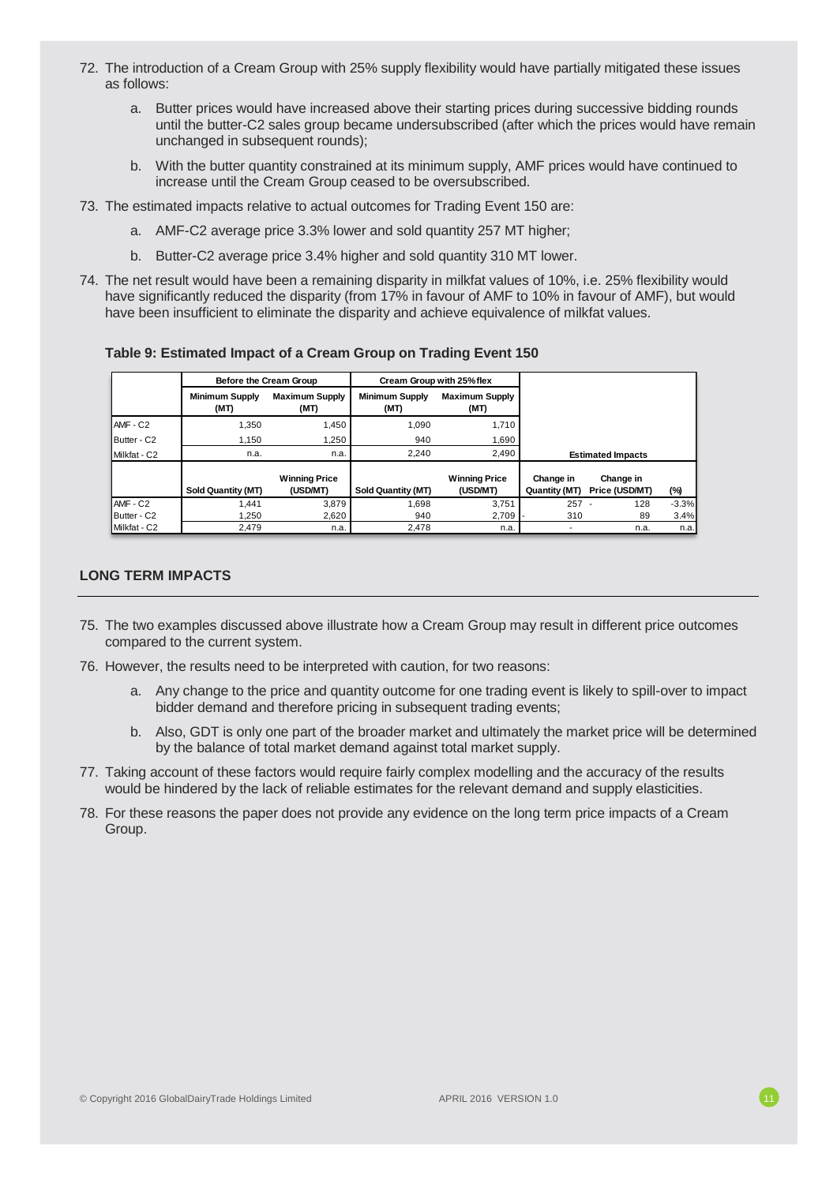- 72. The introduction of a Cream Group with 25% supply flexibility would have partially mitigated these issues as follows:
	- a. Butter prices would have increased above their starting prices during successive bidding rounds until the butter-C2 sales group became undersubscribed (after which the prices would have remain unchanged in subsequent rounds);
	- b. With the butter quantity constrained at its minimum supply, AMF prices would have continued to increase until the Cream Group ceased to be oversubscribed.
- 73. The estimated impacts relative to actual outcomes for Trading Event 150 are:
	- a. AMF-C2 average price 3.3% lower and sold quantity 257 MT higher;
	- b. Butter-C2 average price 3.4% higher and sold quantity 310 MT lower.
- 74. The net result would have been a remaining disparity in milkfat values of 10%, i.e. 25% flexibility would have significantly reduced the disparity (from 17% in favour of AMF to 10% in favour of AMF), but would have been insufficient to eliminate the disparity and achieve equivalence of milkfat values.

**Table 9: Estimated Impact of a Cream Group on Trading Event 150**

|              | Before the Cream Group        |                                  | Cream Group with 25% flex     |                                  |                            |                             |         |
|--------------|-------------------------------|----------------------------------|-------------------------------|----------------------------------|----------------------------|-----------------------------|---------|
|              | <b>Minimum Supply</b><br>(MT) | <b>Maximum Supply</b><br>(MT)    | <b>Minimum Supply</b><br>(MT) | <b>Maximum Supply</b><br>(MT)    |                            |                             |         |
| AMF - C2     | 1.350                         | 1,450                            | 1.090                         | 1.710                            |                            |                             |         |
| Butter - C2  | 1.150                         | 1.250                            | 940                           | 1.690                            |                            |                             |         |
| Milkfat - C2 | n.a.                          | n.a.                             | 2.240                         | 2,490                            | <b>Estimated Impacts</b>   |                             |         |
|              | Sold Quantity (MT)            | <b>Winning Price</b><br>(USD/MT) | Sold Quantity (MT)            | <b>Winning Price</b><br>(USD/MT) | Change in<br>Quantity (MT) | Change in<br>Price (USD/MT) | $(\%)$  |
| AMF - C2     | .441                          | 3.879                            | 1.698                         | 3.751                            | 257                        | 128                         | $-3.3%$ |
| Butter - C2  | 1.250                         | 2,620                            | 940                           | 2,709                            | 310                        | 89                          | 3.4%    |
| Milkfat - C2 | 2.479                         | n.a.                             | 2.478                         | n.a.                             |                            | n.a.                        | n.a.    |

## **LONG TERM IMPACTS**

- 75. The two examples discussed above illustrate how a Cream Group may result in different price outcomes compared to the current system.
- 76. However, the results need to be interpreted with caution, for two reasons:
	- a. Any change to the price and quantity outcome for one trading event is likely to spill-over to impact bidder demand and therefore pricing in subsequent trading events;
	- b. Also, GDT is only one part of the broader market and ultimately the market price will be determined by the balance of total market demand against total market supply.
- 77. Taking account of these factors would require fairly complex modelling and the accuracy of the results would be hindered by the lack of reliable estimates for the relevant demand and supply elasticities.
- 78. For these reasons the paper does not provide any evidence on the long term price impacts of a Cream Group.